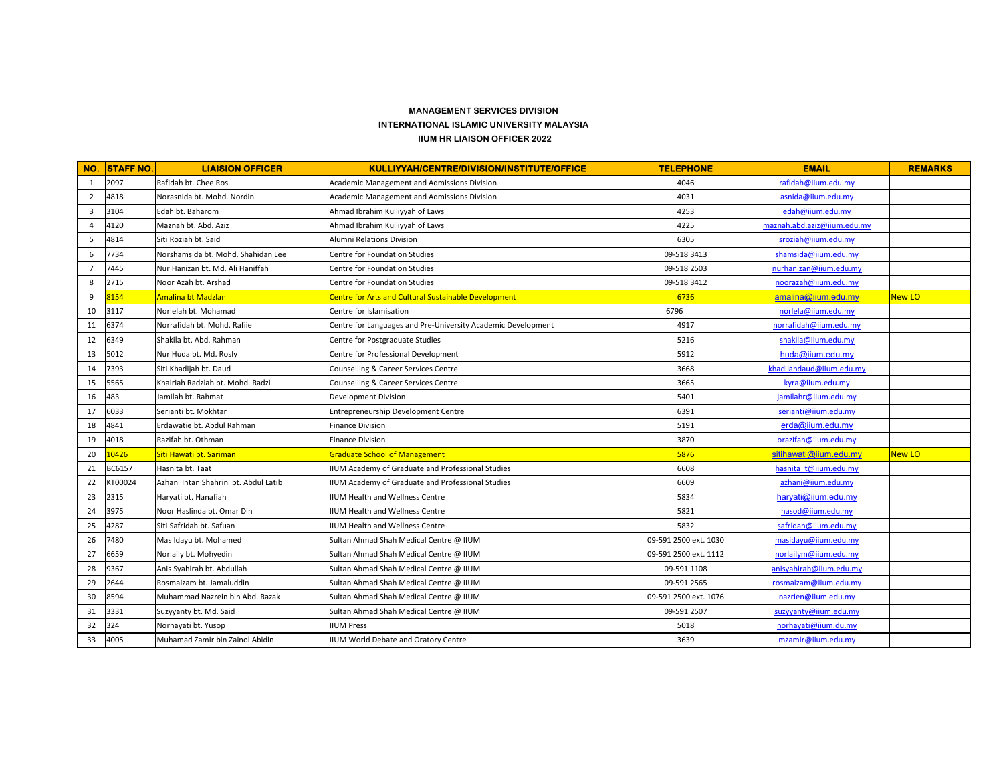## **MANAGEMENT SERVICES DIVISION INTERNATIONAL ISLAMIC UNIVERSITY MALAYSIA IIUM HR LIAISON OFFICER 2022**

| NO.            | <b>STAFF NO.</b> | <b>LIAISION OFFICER</b>               | KULLIYYAH/CENTRE/DIVISION/INSTITUTE/OFFICE                   | <b>TELEPHONE</b>      | <b>EMAIL</b>                | <b>REMARKS</b> |
|----------------|------------------|---------------------------------------|--------------------------------------------------------------|-----------------------|-----------------------------|----------------|
| 1              | 2097             | Rafidah bt. Chee Ros                  | Academic Management and Admissions Division                  | 4046                  | rafidah@iium.edu.my         |                |
| $\overline{2}$ | 4818             | Norasnida bt. Mohd. Nordin            | <b>Academic Management and Admissions Division</b>           | 4031                  | asnida@iium.edu.my          |                |
| 3              | 3104             | Edah bt. Baharom                      | Ahmad Ibrahim Kulliyyah of Laws                              | 4253                  | edah@iium.edu.my            |                |
| $\overline{4}$ | 4120             | Maznah bt. Abd. Aziz                  | Ahmad Ibrahim Kulliyyah of Laws                              | 4225                  | maznah.abd.aziz@iium.edu.my |                |
| 5              | 4814             | Siti Roziah bt. Said                  | Alumni Relations Division                                    | 6305                  | sroziah@iium.edu.my         |                |
| 6              | 7734             | Norshamsida bt. Mohd. Shahidan Lee    | Centre for Foundation Studies                                | 09-518 3413           | shamsida@iium.edu.my        |                |
| $\overline{7}$ | 7445             | Nur Hanizan bt. Md. Ali Haniffah      | <b>Centre for Foundation Studies</b>                         | 09-518 2503           | nurhanizan@iium.edu.my      |                |
| 8              | 2715             | Noor Azah bt. Arshad                  | <b>Centre for Foundation Studies</b>                         | 09-518 3412           | noorazah@iium.edu.my        |                |
| 9              | 8154             | Amalina bt Madzlan                    | <b>Centre for Arts and Cultural Sustainable Development</b>  | 6736                  | amalina@iium.edu.my         | New LO         |
| 10             | 3117             | Norlelah bt. Mohamad                  | Centre for Islamisation                                      | 6796                  | norlela@iium.edu.my         |                |
| 11             | 6374             | Norrafidah bt. Mohd. Rafiie           | Centre for Languages and Pre-University Academic Development | 4917                  | norrafidah@iium.edu.my      |                |
| 12             | 6349             | Shakila bt. Abd. Rahman               | Centre for Postgraduate Studies                              | 5216                  | shakila@iium.edu.my         |                |
| 13             | 5012             | Nur Huda bt. Md. Rosly                | Centre for Professional Development                          | 5912                  | huda@iium.edu.my            |                |
| 14             | 7393             | Siti Khadijah bt. Daud                | Counselling & Career Services Centre                         | 3668                  | khadijahdaud@iium.edu.my    |                |
| 15             | 5565             | Khairiah Radziah bt. Mohd. Radzi      | Counselling & Career Services Centre                         | 3665                  | kyra@iium.edu.my            |                |
| 16             | 483              | Jamilah bt. Rahmat                    | Development Division                                         | 5401                  | jamilahr@iium.edu.my        |                |
| 17             | 6033             | Serianti bt. Mokhtar                  | Entrepreneurship Development Centre                          | 6391                  | serianti@iium.edu.my        |                |
| 18             | 4841             | Erdawatie bt. Abdul Rahman            | <b>Finance Division</b>                                      | 5191                  | erda@iium.edu.my            |                |
| 19             | 4018             | Razifah bt. Othman                    | Finance Division                                             | 3870                  | orazifah@iium.edu.my        |                |
| 20             | 10426            | Siti Hawati bt. Sariman               | <b>Graduate School of Management</b>                         | 5876                  | sitihawati@iium.edu.my      | New LO         |
| 21             | BC6157           | Hasnita bt. Taat                      | IIUM Academy of Graduate and Professional Studies            | 6608                  | hasnita t@iium.edu.my       |                |
| 22             | KT00024          | Azhani Intan Shahrini bt. Abdul Latib | IIUM Academy of Graduate and Professional Studies            | 6609                  | azhani@iium.edu.my          |                |
| 23             | 2315             | Haryati bt. Hanafiah                  | <b>IIUM Health and Wellness Centre</b>                       | 5834                  | harvati@ijum.edu.mv         |                |
| 24             | 3975             | Noor Haslinda bt. Omar Din            | <b>IIUM Health and Wellness Centre</b>                       | 5821                  | hasod@iium.edu.my           |                |
| 25             | 4287             | Siti Safridah bt. Safuan              | IIUM Health and Wellness Centre                              | 5832                  | safridah@iium.edu.my        |                |
| 26             | 7480             | Mas Idayu bt. Mohamed                 | Sultan Ahmad Shah Medical Centre @ IIUM                      | 09-591 2500 ext. 1030 | masidayu@iium.edu.my        |                |
| 27             | 6659             | Norlaily bt. Mohyedin                 | Sultan Ahmad Shah Medical Centre @ IIUM                      | 09-591 2500 ext. 1112 | norlailym@iium.edu.my       |                |
| 28             | 9367             | Anis Syahirah bt. Abdullah            | Sultan Ahmad Shah Medical Centre @ IIUM                      | 09-591 1108           | anisyahirah@iium.edu.my     |                |
| 29             | 2644             | Rosmaizam bt. Jamaluddin              | Sultan Ahmad Shah Medical Centre @ IIUM                      | 09-591 2565           | rosmaizam@iium.edu.my       |                |
| 30             | 8594             | Muhammad Nazrein bin Abd. Razak       | Sultan Ahmad Shah Medical Centre @ IIUM                      | 09-591 2500 ext. 1076 | nazrien@iium.edu.my         |                |
| 31             | 3331             | Suzyyanty bt. Md. Said                | Sultan Ahmad Shah Medical Centre @ IIUM                      | 09-591 2507           | suzyyanty@iium.edu.my       |                |
| 32             | 324              | Norhayati bt. Yusop                   | <b>IUM Press</b>                                             | 5018                  | norhayati@iium.du.my        |                |
| 33             | 4005             | Muhamad Zamir bin Zainol Abidin       | IUM World Debate and Oratory Centre                          | 3639                  | mzamir@iium.edu.my          |                |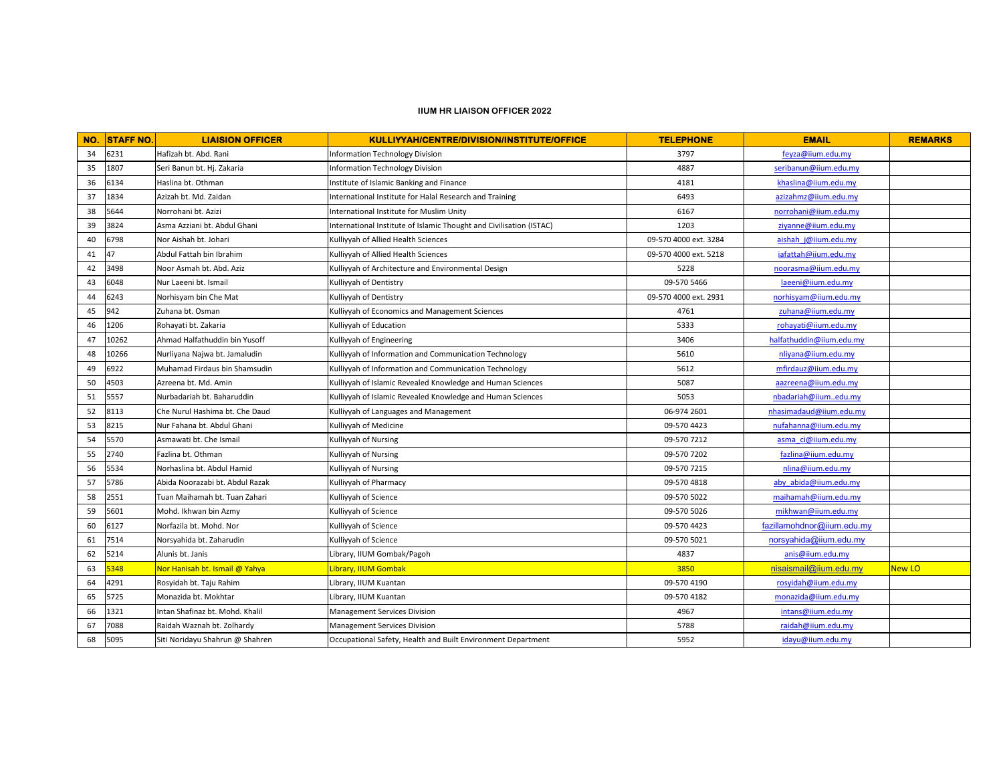## **IIUM HR LIAISON OFFICER 2022**

| NO. | <b>STAFF NO.</b> | <b>LIAISION OFFICER</b>         | KULLIYYAH/CENTRE/DIVISION/INSTITUTE/OFFICE                          | <b>TELEPHONE</b>      | <b>EMAIL</b>               | <b>REMARKS</b> |
|-----|------------------|---------------------------------|---------------------------------------------------------------------|-----------------------|----------------------------|----------------|
| 34  | 6231             | Hafizah bt. Abd. Rani           | Information Technology Division                                     | 3797                  | feyza@iium.edu.my          |                |
| 35  | 1807             | Seri Banun bt. Hj. Zakaria      | Information Technology Division                                     | 4887                  | seribanun@iium.edu.my      |                |
| 36  | 6134             | Haslina bt. Othman              | Institute of Islamic Banking and Finance                            | 4181                  | khaslina@iium.edu.my       |                |
| 37  | 1834             | Azizah bt. Md. Zaidan           | International Institute for Halal Research and Training             | 6493                  | azizahmz@iium.edu.my       |                |
| 38  | 5644             | Norrohani bt. Azizi             | International Institute for Muslim Unity                            | 6167                  | norrohani@iium.edu.my      |                |
| 39  | 3824             | Asma Azziani bt. Abdul Ghani    | International Institute of Islamic Thought and Civilisation (ISTAC) | 1203                  | ziyanne@iium.edu.my        |                |
| 40  | 6798             | Nor Aishah bt. Johari           | Kulliyyah of Allied Health Sciences                                 | 09-570 4000 ext. 3284 | aishah j@iium.edu.my       |                |
| 41  | 47               | Abdul Fattah bin Ibrahim        | Kulliyyah of Allied Health Sciences                                 | 09-570 4000 ext. 5218 | iafattah@iium.edu.my       |                |
| 42  | 3498             | Noor Asmah bt. Abd. Aziz        | Kulliyyah of Architecture and Environmental Design                  | 5228                  | noorasma@iium.edu.my       |                |
| 43  | 6048             | Nur Laeeni bt. Ismail           | Kulliyyah of Dentistry                                              | 09-570 5466           | laeeni@iium.edu.my         |                |
| 44  | 6243             | Norhisyam bin Che Mat           | Kulliyyah of Dentistry                                              | 09-570 4000 ext. 2931 | norhisyam@iium.edu.my      |                |
| 45  | 942              | Zuhana bt. Osman                | Kulliyyah of Economics and Management Sciences                      | 4761                  | zuhana@iium.edu.my         |                |
| 46  | 1206             | Rohayati bt. Zakaria            | Kulliyyah of Education                                              | 5333                  | rohayati@iium.edu.my       |                |
| 47  | 10262            | Ahmad Halfathuddin bin Yusoff   | Kulliyyah of Engineering                                            | 3406                  | halfathuddin@iium.edu.my   |                |
| 48  | 10266            | Nurliyana Najwa bt. Jamaludin   | Kulliyyah of Information and Communication Technology               | 5610                  | nliyana@iium.edu.my        |                |
| 49  | 6922             | Muhamad Firdaus bin Shamsudin   | Kulliyyah of Information and Communication Technology               | 5612                  | mfirdauz@iium.edu.my       |                |
| 50  | 4503             | Azreena bt. Md. Amin            | Kulliyyah of Islamic Revealed Knowledge and Human Sciences          | 5087                  | aazreena@iium.edu.my       |                |
| 51  | 5557             | Nurbadariah bt. Baharuddin      | Kulliyyah of Islamic Revealed Knowledge and Human Sciences          | 5053                  | nbadariah@iiumedu.my       |                |
| 52  | 8113             | Che Nurul Hashima bt. Che Daud  | Kulliyyah of Languages and Management                               | 06-974 2601           | nhasimadaud@iium.edu.my    |                |
| 53  | 8215             | Nur Fahana bt. Abdul Ghani      | Kulliyyah of Medicine                                               | 09-570 4423           | nufahanna@iium.edu.my      |                |
| 54  | 5570             | Asmawati bt. Che Ismail         | Kulliyyah of Nursing                                                | 09-570 7212           | asma ci@iium.edu.my        |                |
| 55  | 2740             | Fazlina bt. Othman              | Kulliyyah of Nursing                                                | 09-570 7202           | fazlina@iium.edu.my        |                |
| 56  | 5534             | Norhaslina bt. Abdul Hamid      | Kulliyyah of Nursing                                                | 09-570 7215           | nlina@iium.edu.my          |                |
| 57  | 5786             | Abida Noorazabi bt. Abdul Razak | Kulliyyah of Pharmacy                                               | 09-570 4818           | aby abida@iium.edu.my      |                |
| 58  | 2551             | Tuan Maihamah bt. Tuan Zahari   | Kulliyyah of Science                                                | 09-570 5022           | maihamah@iium.edu.my       |                |
| 59  | 5601             | Mohd. Ikhwan bin Azmy           | Kulliyyah of Science                                                | 09-570 5026           | mikhwan@iium.edu.my        |                |
| 60  | 6127             | Norfazila bt. Mohd. Nor         | Kulliyyah of Science                                                | 09-570 4423           | fazillamohdnor@iium.edu.my |                |
| 61  | 7514             | Norsyahida bt. Zaharudin        | Culliyyah of Science                                                | 09-570 5021           | norsyahida@iium.edu.my     |                |
| 62  | 5214             | Alunis bt. Janis                | Library, IIUM Gombak/Pagoh                                          | 4837                  | anis@iium.edu.my           |                |
| 63  | 5348             | Nor Hanisah bt. Ismail @ Yahya  | Library, IIUM Gombak                                                | 3850                  | nisaismail@iium.edu.my     | New LO         |
| 64  | 4291             | Rosyidah bt. Taju Rahim         | Library, IIUM Kuantan                                               | 09-570 4190           | rosyidah@iium.edu.my       |                |
| 65  | 5725             | Monazida bt. Mokhtar            | Library, IIUM Kuantan                                               | 09-570 4182           | monazida@iium.edu.my       |                |
| 66  | 1321             | Intan Shafinaz bt. Mohd. Khalil | Management Services Division                                        | 4967                  | intans@iium.edu.my         |                |
| 67  | 7088             | Raidah Waznah bt. Zolhardy      | <b>Management Services Division</b>                                 | 5788                  | raidah@iium.edu.my         |                |
| 68  | 5095             | Siti Noridayu Shahrun @ Shahren | Occupational Safety, Health and Built Environment Department        | 5952                  | idayu@iium.edu.my          |                |